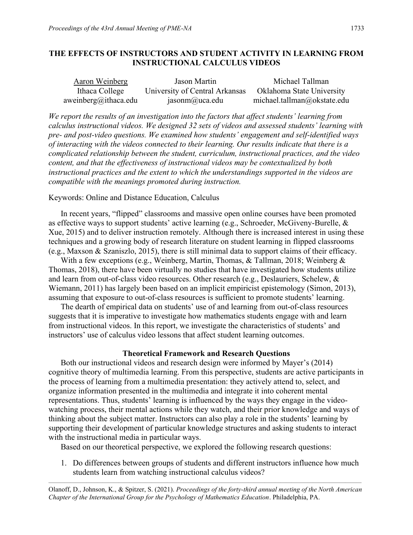# **THE EFFECTS OF INSTRUCTORS AND STUDENT ACTIVITY IN LEARNING FROM INSTRUCTIONAL CALCULUS VIDEOS**

| Aaron Weinberg       | Jason Martin                   | Michael Tallman             |
|----------------------|--------------------------------|-----------------------------|
| Ithaca College       | University of Central Arkansas | Oklahoma State University   |
| aweinberg@ithaca.edu | jasonm@uca.edu                 | michael.tallman@okstate.edu |

*We report the results of an investigation into the factors that affect students' learning from calculus instructional videos. We designed 32 sets of videos and assessed students' learning with pre- and post-video questions. We examined how students' engagement and self-identified ways of interacting with the videos connected to their learning. Our results indicate that there is a complicated relationship between the student, curriculum, instructional practices, and the video content, and that the effectiveness of instructional videos may be contextualized by both instructional practices and the extent to which the understandings supported in the videos are compatible with the meanings promoted during instruction.*

## Keywords: Online and Distance Education, Calculus

In recent years, "flipped" classrooms and massive open online courses have been promoted as effective ways to support students' active learning (e.g., Schroeder, McGiveny-Burelle, & Xue, 2015) and to deliver instruction remotely. Although there is increased interest in using these techniques and a growing body of research literature on student learning in flipped classrooms (e.g., Maxson & Szaniszlo, 2015), there is still minimal data to support claims of their efficacy.

With a few exceptions (e.g., Weinberg, Martin, Thomas, & Tallman, 2018; Weinberg & Thomas, 2018), there have been virtually no studies that have investigated how students utilize and learn from out-of-class video resources. Other research (e.g., Deslauriers, Schelew, & Wiemann, 2011) has largely been based on an implicit empiricist epistemology (Simon, 2013), assuming that exposure to out-of-class resources is sufficient to promote students' learning.

The dearth of empirical data on students' use of and learning from out-of-class resources suggests that it is imperative to investigate how mathematics students engage with and learn from instructional videos. In this report, we investigate the characteristics of students' and instructors' use of calculus video lessons that affect student learning outcomes.

# **Theoretical Framework and Research Questions**

Both our instructional videos and research design were informed by Mayer's (2014) cognitive theory of multimedia learning. From this perspective, students are active participants in the process of learning from a multimedia presentation: they actively attend to, select, and organize information presented in the multimedia and integrate it into coherent mental representations. Thus, students' learning is influenced by the ways they engage in the videowatching process, their mental actions while they watch, and their prior knowledge and ways of thinking about the subject matter. Instructors can also play a role in the students' learning by supporting their development of particular knowledge structures and asking students to interact with the instructional media in particular ways.

Based on our theoretical perspective, we explored the following research questions:

1. Do differences between groups of students and different instructors influence how much students learn from watching instructional calculus videos?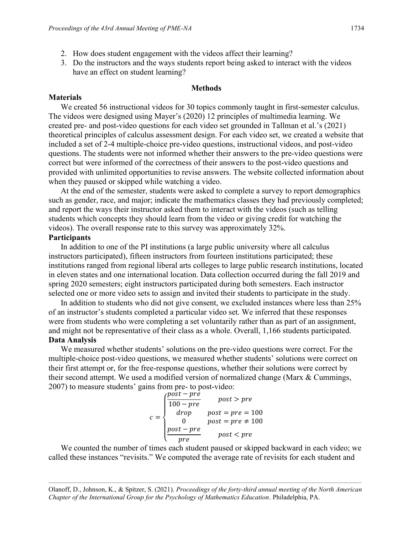3. Do the instructors and the ways students report being asked to interact with the videos have an effect on student learning?

#### **Methods**

#### **Materials**

We created 56 instructional videos for 30 topics commonly taught in first-semester calculus. The videos were designed using Mayer's (2020) 12 principles of multimedia learning. We created pre- and post-video questions for each video set grounded in Tallman et al.'s (2021) theoretical principles of calculus assessment design. For each video set, we created a website that included a set of 2-4 multiple-choice pre-video questions, instructional videos, and post-video questions. The students were not informed whether their answers to the pre-video questions were correct but were informed of the correctness of their answers to the post-video questions and provided with unlimited opportunities to revise answers. The website collected information about when they paused or skipped while watching a video.

At the end of the semester, students were asked to complete a survey to report demographics such as gender, race, and major; indicate the mathematics classes they had previously completed; and report the ways their instructor asked them to interact with the videos (such as telling students which concepts they should learn from the video or giving credit for watching the videos). The overall response rate to this survey was approximately 32%.

## **Participants**

In addition to one of the PI institutions (a large public university where all calculus instructors participated), fifteen instructors from fourteen institutions participated; these institutions ranged from regional liberal arts colleges to large public research institutions, located in eleven states and one international location. Data collection occurred during the fall 2019 and spring 2020 semesters; eight instructors participated during both semesters. Each instructor selected one or more video sets to assign and invited their students to participate in the study.

In addition to students who did not give consent, we excluded instances where less than 25% of an instructor's students completed a particular video set. We inferred that these responses were from students who were completing a set voluntarily rather than as part of an assignment, and might not be representative of their class as a whole. Overall, 1,166 students participated. **Data Analysis**

We measured whether students' solutions on the pre-video questions were correct. For the multiple-choice post-video questions, we measured whether students' solutions were correct on their first attempt or, for the free-response questions, whether their solutions were correct by their second attempt. We used a modified version of normalized change (Marx & Cummings, 2007) to measure students' gains from pre- to post-video:

$$
c = \begin{cases} \frac{post - pr\hat{e}}{100 - pre} & post > pre \\ drop & post = pre = 100 \\ 0 & post = pre \neq 100 \\ post - pre & post < pre \end{cases}
$$

We counted the number of times each student paused or skipped backward in each video; we called these instances "revisits." We computed the average rate of revisits for each student and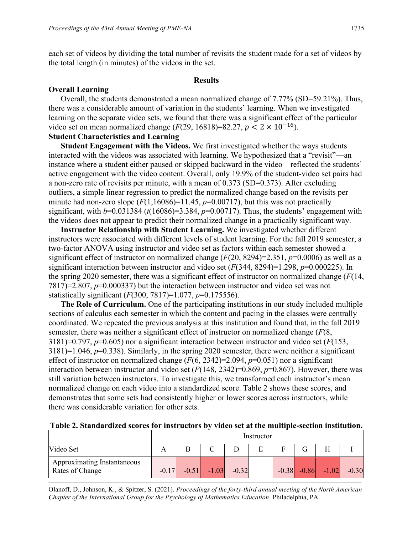each set of videos by dividing the total number of revisits the student made for a set of videos by the total length (in minutes) of the videos in the set.

#### **Results**

## **Overall Learning**

Overall, the students demonstrated a mean normalized change of 7.77% (SD=59.21%). Thus, there was a considerable amount of variation in the students' learning. When we investigated learning on the separate video sets, we found that there was a significant effect of the particular video set on mean normalized change  $(F(29, 16818)=82.27, p < 2 \times 10^{-16})$ .

# **Student Characteristics and Learning**

**Student Engagement with the Videos.** We first investigated whether the ways students interacted with the videos was associated with learning. We hypothesized that a "revisit"—an instance where a student either paused or skipped backward in the video—reflected the students' active engagement with the video content. Overall, only 19.9% of the student-video set pairs had a non-zero rate of revisits per minute, with a mean of 0.373 (SD=0.373). After excluding outliers, a simple linear regression to predict the normalized change based on the revisits per minute had non-zero slope  $(F(1,16086)=11.45, p=0.00717)$ , but this was not practically significant, with  $b=0.031384$  ( $t(16086)=3.384$ ,  $p=0.00717$ ). Thus, the students' engagement with the videos does not appear to predict their normalized change in a practically significant way.

**Instructor Relationship with Student Learning.** We investigated whether different instructors were associated with different levels of student learning. For the fall 2019 semester, a two-factor ANOVA using instructor and video set as factors within each semester showed a significant effect of instructor on normalized change (*F*(20, 8294)=2.351, *p*=0.0006) as well as a significant interaction between instructor and video set (*F*(344, 8294)=1.298, *p*=0.000225). In the spring 2020 semester, there was a significant effect of instructor on normalized change (*F*(14, 7817)=2.807, *p*=0.000337) but the interaction between instructor and video set was not statistically significant (*F*(300, 7817)=1.077, *p*=0.175556).

**The Role of Curriculum.** One of the participating institutions in our study included multiple sections of calculus each semester in which the content and pacing in the classes were centrally coordinated. We repeated the previous analysis at this institution and found that, in the fall 2019 semester, there was neither a significant effect of instructor on normalized change (*F*(8, 3181)=0.797, *p*=0.605) nor a significant interaction between instructor and video set (*F*(153, 3181)=1.046, *p*=0.338). Similarly, in the spring 2020 semester, there were neither a significant effect of instructor on normalized change (*F*(6, 2342)=2.094, *p*=0.051) nor a significant interaction between instructor and video set (*F*(148, 2342)=0.869, *p*=0.867). However, there was still variation between instructors. To investigate this, we transformed each instructor's mean normalized change on each video into a standardized score. Table 2 shows these scores, and demonstrates that some sets had consistently higher or lower scores across instructors, while there was considerable variation for other sets.

|  |  |  |  |  | Table 2. Standardized scores for instructors by video set at the multiple-section institution. |
|--|--|--|--|--|------------------------------------------------------------------------------------------------|
|  |  |  |  |  |                                                                                                |

|                                                | Instructor |         |         |         |   |              |         |         |         |
|------------------------------------------------|------------|---------|---------|---------|---|--------------|---------|---------|---------|
| Video Set                                      |            |         |         |         | E | $\mathbf{E}$ |         |         |         |
| Approximating Instantaneous<br>Rates of Change | $-0.17$    | $-0.51$ | $-1.03$ | $-0.32$ |   | $-0.38$      | $-0.86$ | $-1.02$ | $-0.30$ |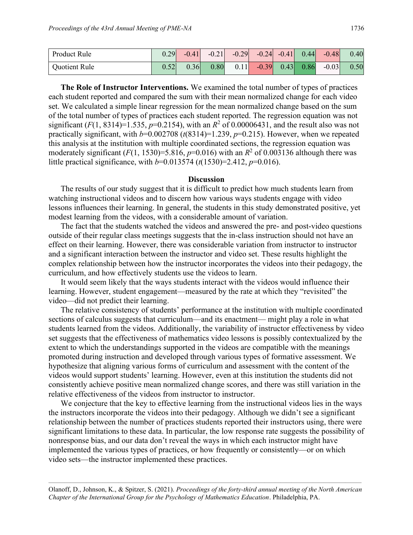| <b>Product Rule</b> | 0.29 | $-0.41$ | $-0.21$ | $-0.29$ $-0.24$ $-0.41$ $0.44$ $-0.48$ |  |         | 0.40 |
|---------------------|------|---------|---------|----------------------------------------|--|---------|------|
| Quotient Rule       |      | 0.36    | 0.80    | $0.11$ $-0.39$ $0.43$ $0.86$           |  | $-0.03$ | 0.50 |

**The Role of Instructor Interventions.** We examined the total number of types of practices each student reported and compared the sum with their mean normalized change for each video set. We calculated a simple linear regression for the mean normalized change based on the sum of the total number of types of practices each student reported. The regression equation was not significant ( $F(1, 8314)=1.535$ ,  $p=0.2154$ ), with an  $R^2$  of 0.00006431, and the result also was not practically significant, with  $b=0.002708$  ( $t(8314)=1.239$ ,  $p=0.215$ ). However, when we repeated this analysis at the institution with multiple coordinated sections, the regression equation was moderately significant ( $F(1, 1530) = 5.816$ ,  $p=0.016$ ) with an  $R^2$  of 0.003136 although there was little practical significance, with *b*=0.013574 (*t*(1530)=2.412, *p*=0.016).

#### **Discussion**

The results of our study suggest that it is difficult to predict how much students learn from watching instructional videos and to discern how various ways students engage with video lessons influences their learning. In general, the students in this study demonstrated positive, yet modest learning from the videos, with a considerable amount of variation.

The fact that the students watched the videos and answered the pre- and post-video questions outside of their regular class meetings suggests that the in-class instruction should not have an effect on their learning. However, there was considerable variation from instructor to instructor and a significant interaction between the instructor and video set. These results highlight the complex relationship between how the instructor incorporates the videos into their pedagogy, the curriculum, and how effectively students use the videos to learn.

It would seem likely that the ways students interact with the videos would influence their learning. However, student engagement—measured by the rate at which they "revisited" the video—did not predict their learning.

The relative consistency of students' performance at the institution with multiple coordinated sections of calculus suggests that curriculum—and its enactment— might play a role in what students learned from the videos. Additionally, the variability of instructor effectiveness by video set suggests that the effectiveness of mathematics video lessons is possibly contextualized by the extent to which the understandings supported in the videos are compatible with the meanings promoted during instruction and developed through various types of formative assessment. We hypothesize that aligning various forms of curriculum and assessment with the content of the videos would support students' learning. However, even at this institution the students did not consistently achieve positive mean normalized change scores, and there was still variation in the relative effectiveness of the videos from instructor to instructor.

We conjecture that the key to effective learning from the instructional videos lies in the ways the instructors incorporate the videos into their pedagogy. Although we didn't see a significant relationship between the number of practices students reported their instructors using, there were significant limitations to these data. In particular, the low response rate suggests the possibility of nonresponse bias, and our data don't reveal the ways in which each instructor might have implemented the various types of practices, or how frequently or consistently—or on which video sets—the instructor implemented these practices.